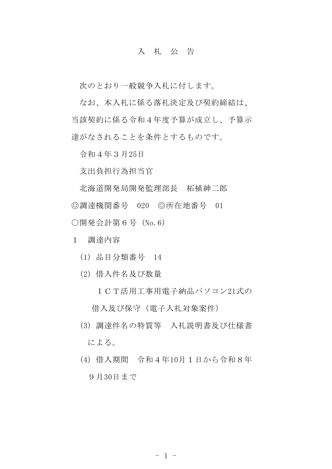## 入 札 公 告

次のとおり一般競争入札に付します。

なお、本入札に係る落札決定及び契約締結は、 当該契約に係る令和4年度予算が成立し、予算示 達がなされることを条件とするものです。

令和4年3月25日

支出負担行為担当官

北海道開発局開発監理部長 柘植紳二郎 ◎調達機関番号 020 ◎所在地番号 01 ○開発会計第6号 (No.6)

- 1 調達内容
	- (1) 品目分類番号 14
	- (2) 借入件名及び数量
		- ICT活用工事用電子納品パソコン21式の 借入及び保守(電子入札対象案件)
	- (3) 調達件名の特質等 入札説明書及び仕様書 による。
	- (4) 借入期間 令和4年10月1日から令和8年 9月30日まで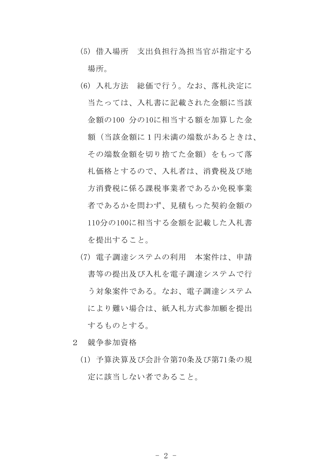- (5) 借入場所 支出負担行為担当官が指定する 場所。
- (6) 入札方法 総価で行う。なお、落札決定に 当たっては、入札書に記載された金額に当該 金額の100 分の10に相当する額を加算した金 額(当該金額に1円未満の端数があるときは、 その端数金額を切り捨てた金額)をもって落 札価格とするので、入札者は、消費税及び地 方消費税に係る課税事業者であるか免税事業 者であるかを問わず、見積もった契約金額の 110分の100に相当する金額を記載した入札書 を提出すること。
- (7) 電子調達システムの利用 本案件は、申請 書等の提出及び入札を電子調達システムで行 う対象案件である。なお、電子調達システム により難い場合は、紙入札方式参加願を提出 するものとする。
- 2 競争参加資格
	- (1) 予算決算及び会計令第70条及び第71条の規 定に該当しない者であること。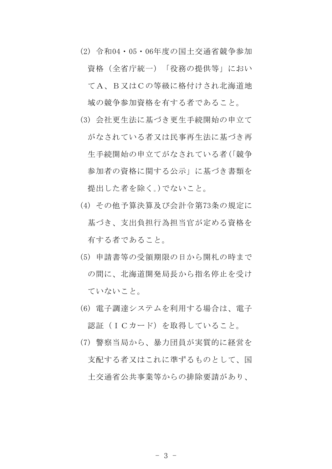- (2) 令和04・05・06年度の国土交通省競争参加 資格(全省庁統一)「役務の提供等」におい てA、B又はCの等級に格付けされ北海道地 域の競争参加資格を有する者であること。
- (3) 会社更生法に基づき更生手続開始の申立て がなされている者又は民事再生法に基づき再 生手続開始の申立てがなされている者(「競争 参加者の資格に関する公示」に基づき書類を 提出した者を除く。)でないこと。
- (4) その他予算決算及び会計令第73条の規定に 基づき、支出負担行為担当官が定める資格を 有する者であること。
- (5) 申請書等の受領期限の日から開札の時まで の間に、北海道開発局長から指名停止を受け ていないこと。
- (6) 電子調達システムを利用する場合は、電子 認証(ICカード)を取得していること。
- (7) 警察当局から、暴力団員が実質的に経営を 支配する者又はこれに準ずるものとして、国 土交通省公共事業等からの排除要請があり、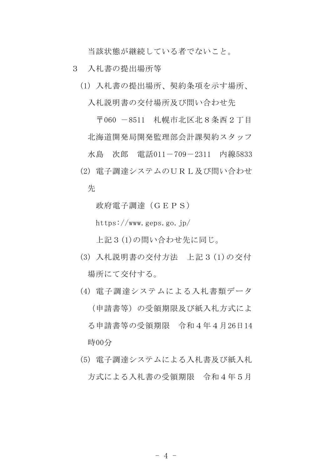当該状態が継続している者でないこと。

- 3 入札書の提出場所等
	- (1) 入札書の提出場所、契約条項を示す場所、

入札説明書の交付場所及び問い合わせ先

〒060 -8511 札幌市北区北8条西2丁目 北海道開発局開発監理部会計課契約スタッフ 水島 次郎 電話011-709-2311 内線5833 (2) 電子調達システムのURL及び問い合わせ

先

政府電子調達(GEPS)

https://www.geps.go.jp/

上記3(1)の問い合わせ先に同じ。

- (3) 入札説明書の交付方法 上記3(1)の交付 場所にて交付する。
- (4) 電子調達システムによる入札書類データ (申請書等)の受領期限及び紙入札方式によ る申請書等の受領期限 令和4年4月26日14 時00分
- (5) 電子調達システムによる入札書及び紙入札 方式による入札書の受領期限 令和4年5月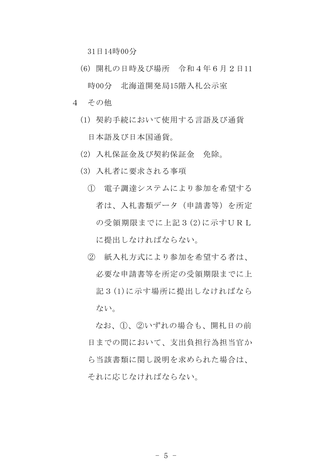31日14時00分

- (6) 開札の日時及び場所 令和4年6月2日11 時00分 北海道開発局15階入札公示室
- 4 その他
	- (1) 契約手続において使用する言語及び通貨 日本語及び日本国通貨。
	- (2) 入札保証金及び契約保証金 免除。
	- (3) 入札者に要求される事項
		- ① 電子調達システムにより参加を希望する 者は、入札書類データ(申請書等)を所定 の受領期限までに上記3(2)に示すURL に提出しなければならない。
		- ② 紙入札方式により参加を希望する者は、 必要な申請書等を所定の受領期限までに上 記3(1)に示す場所に提出しなければなら ない。

なお、①、②いずれの場合も、開札日の前 日までの間において、支出負担行為担当官か ら当該書類に関し説明を求められた場合は、 それに応じなければならない。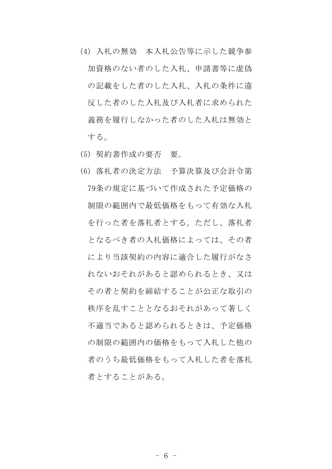- (4) 入札の無効 本入札公告等に示した競争参 加資格のない者のした入札、申請書等に虚偽 の記載をした者のした入札、入札の条件に違 反した者のした入札及び入札者に求められた 義務を履行しなかった者のした入札は無効と する。
- (5) 契約書作成の要否 要。
- (6) 落札者の決定方法 予算決算及び会計令第 79条の規定に基づいて作成された予定価格の 制限の範囲内で最低価格をもって有効な入札 を行った者を落札者とする。ただし、落札者 となるべき者の入札価格によっては、その者 により当該契約の内容に適合した履行がなさ れないおそれがあると認められるとき、又は その者と契約を締結することが公正な取引の 秩序を乱すこととなるおそれがあって著しく 不適当であると認められるときは、予定価格 の制限の範囲内の価格をもって入札した他の 者のうち最低価格をもって入札した者を落札 者とすることがある。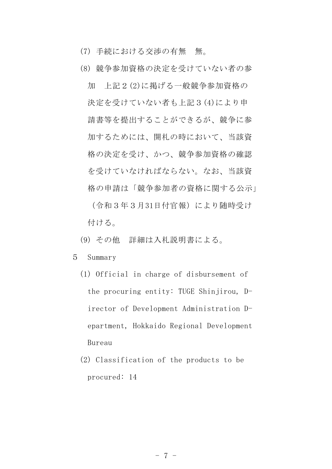- (7) 手続における交渉の有無 無。
- (8) 競争参加資格の決定を受けていない者の参

加 上記2(2)に掲げる一般競争参加資格の 決定を受けていない者も上記3(4)により申 請書等を提出することができるが、競争に参 加するためには、開札の時において、当該資 格の決定を受け、かつ、競争参加資格の確認 を受けていなければならない。なお、当該資 格の申請は「競争参加者の資格に関する公示」 (令和3年3月31日付官報)により随時受け 付ける。

- (9) その他 詳細は入札説明書による。
- 5 Summary
	- (1) Official in charge of disbursement of the procuring entity: TUGE Shinjirou, Director of Development Administration Department, Hokkaido Regional Development Bureau
	- (2) Classification of the products to be procured: 14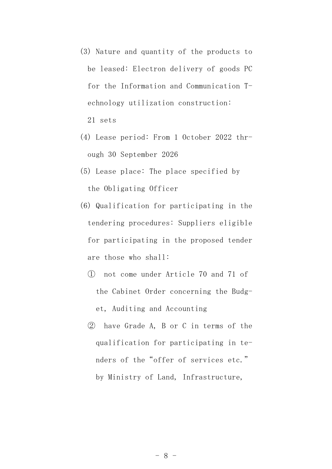- (3) Nature and quantity of the products to be leased: Electron delivery of goods PC for the Information and Communication Technology utilization construction: 21 sets
- (4) Lease period: From 1 October 2022 through 30 September 2026
- (5) Lease place: The place specified by the Obligating Officer
- (6) Qualification for participating in the tendering procedures: Suppliers eligible for participating in the proposed tender are those who shall:
	- ① not come under Article 70 and 71 of the Cabinet Order concerning the Budget, Auditing and Accounting
	- ② have Grade A, B or C in terms of the qualification for participating in tenders of the"offer of services etc." by Ministry of Land, Infrastructure,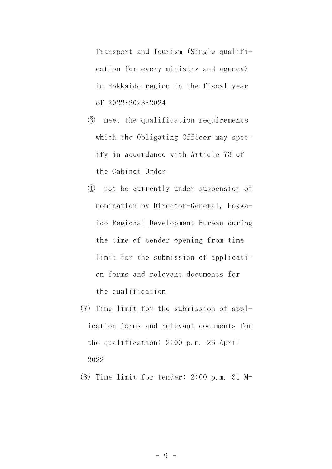Transport and Tourism (Single qualification for every ministry and agency) in Hokkaido region in the fiscal year of 2022・2023・2024

- ③ meet the qualification requirements which the Obligating Officer may specify in accordance with Article 73 of the Cabinet Order
- ④ not be currently under suspension of nomination by Director-General, Hokkaido Regional Development Bureau during the time of tender opening from time limit for the submission of application forms and relevant documents for the qualification
- (7) Time limit for the submission of application forms and relevant documents for the qualification: 2:00 p.m. 26 April 2022
- (8) Time limit for tender: 2:00 p.m. 31 M-